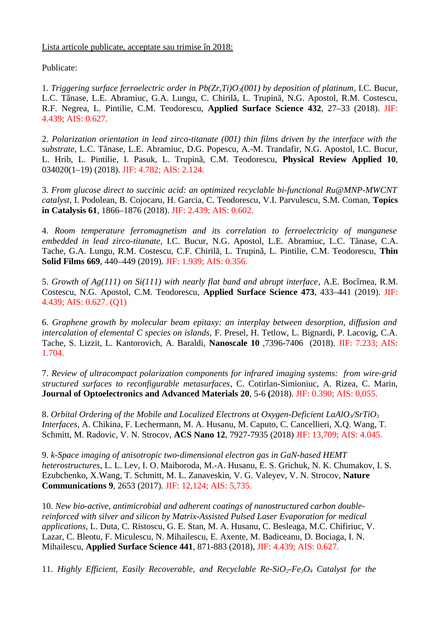Lista articole publicate, acceptate sau trimise în 2018:

Publicate:

1. *Triggering surface ferroelectric order in Pb(Zr,Ti)O3(001) by deposition of platinum*, I.C. Bucur, L.C. Tănase, L.E. Abramiuc, G.A. Lungu, C. Chirilă, L. Trupină, N.G. Apostol, R.M. Costescu, R.F. Negrea, L. Pintilie, C.M. Teodorescu, **Applied Surface Science 432**, 27–33 (2018). JIF: 4.439; AIS: 0.627.

2. *Polarization orientation in lead zirco-titanate (001) thin films driven by the interface with the substrate*, L.C. Tănase, L.E. Abramiuc, D.G. Popescu, A.-M. Trandafir, N.G. Apostol, I.C. Bucur, L. Hrib, L. Pintilie, I. Pasuk, L. Trupină, C.M. Teodorescu, **Physical Review Applied 10**, 034020(1–19) (2018). JIF: 4.782; AIS: 2.124.

3. *From glucose direct to succinic acid: an optimized recyclable bi-functional Ru@MNP-MWCNT catalyst*, I. Podolean, B. Cojocaru, H. Garcia, C. Teodorescu, V.I. Parvulescu, S.M. Coman, **Topics in Catalysis 61**, 1866–1876 (2018). JIF: 2.439; AIS: 0.602.

4. *Room temperature ferromagnetism and its correlation to ferroelectricity of manganese embedded in lead zirco-titanate*, I.C. Bucur, N.G. Apostol, L.E. Abramiuc, L.C. Tănase, C.A. Tache, G.A. Lungu, R.M. Costescu, C.F. Chirilă, L. Trupină, L. Pintilie, C.M. Teodorescu, **Thin Solid Films 669**, 440–449 (2019). JIF: 1.939; AIS: 0.356.

5. *Growth of Ag(111) on Si(111) with nearly flat band and abrupt interface*, A.E. Bocîrnea, R.M. Costescu, N.G. Apostol, C.M. Teodorescu, **Applied Surface Science 473**, 433–441 (2019). JIF: 4.439; AIS: 0.627. (Q1)

6. *Graphene growth by molecular beam epitaxy: an interplay between desorption, diffusion and intercalation of elemental C species on islands,* F. Presel, H. Tetlow, L. Bignardi, P. Lacovig, C.A. Tache, S. Lizzit, L. Kantorovich, A. Baraldi, **Nanoscale 10** *,*7396-7406 (2018)*.* JIF: 7.233; AIS: 1.704.

7. *Review of ultracompact polarization components for infrared imaging systems: from wire-grid structured surfaces to reconfigurable metasurfaces*, C. Cotirlan-Simioniuc, A. Rizea, C. Marin, **Journal of Optoelectronics and Advanced Materials 20**, 5-6 **(**2018). JIF: 0.390; AIS: 0,055.

8. *Orbital Ordering of the Mobile and Localized Electrons at Oxygen-Deficient LaAlO3/SrTiO<sup>3</sup> Interfaces*, A. Chikina, F. Lechermann, M. A. Husanu, M. Caputo, C. Cancellieri, X.Q. Wang, T. Schmitt, M. Radovic, V. N. Strocov, **ACS Nano 12**, 7927-7935 (2018) JIF: 13,709; AIS: 4.045.

9. *k-Space imaging of anisotropic two-dimensional electron gas in GaN-based HEMT heterostructures*, L. L. Lev, I. O. Maiboroda, M.-A. Husanu, E. S. Grichuk, N. K. Chumakov, I. S. Ezubchenko, X.Wang, T. Schmitt, M. L. Zanaveskin, V. G. Valeyev, V. N. Strocov, **Nature Communications 9**, 2653 (2017). JIF: 12,124; AIS: 5,735.

10. *New bio-active, antimicrobial and adherent coatings of nanostructured carbon doublereinforced with silver and silicon by Matrix-Assisted Pulsed Laser Evaporation for medical applications,* L. Duta, C. Ristoscu, G. E. Stan, M. A. Husanu, C. Besleaga, M.C. Chifiriuc, V. Lazar, C. Bleotu, F. Miculescu, N. Mihailescu, E. Axente, M. Badiceanu, D. Bociaga, I. N. Mihailescu, **Applied Surface Science 441**, 871-883 (2018), JIF: 4.439; AIS: 0.627.

11. *Highly Efficient, Easily Recoverable, and Recyclable Re-SiO2-Fe3O4 Catalyst for the*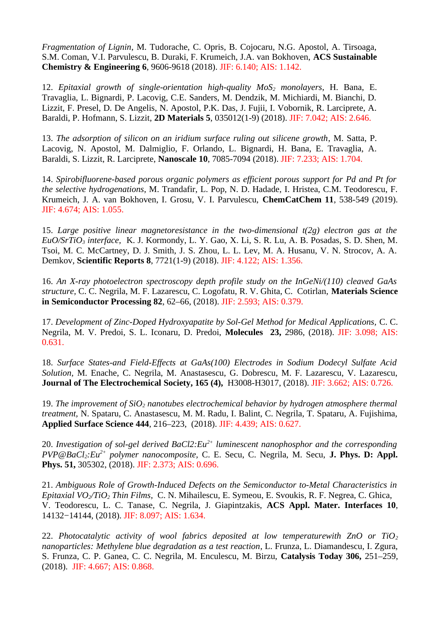*Fragmentation of Lignin*, M. Tudorache, C. Opris, B. Cojocaru, N.G. Apostol, A. Tirsoaga, S.M. Coman, V.I. Parvulescu, B. Duraki, F. Krumeich, J.A. van Bokhoven, **ACS Sustainable Chemistry & Engineering 6**, 9606-9618 (2018). JIF: 6.140; AIS: 1.142.

12. *Epitaxial growth of single-orientation high-quality MoS2 monolayers*, H. Bana, E. Travaglia, L. Bignardi, P. Lacovig, C.E. Sanders, M. Dendzik, M. Michiardi, M. Bianchi, D. Lizzit, F. Presel, D. De Angelis, N. Apostol, P.K. Das, J. Fujii, I. Vobornik, R. Larciprete, A. Baraldi, P. Hofmann, S. Lizzit, **2D Materials 5**, 035012(1-9) (2018). JIF: 7.042; AIS: 2.646.

13. *The adsorption of silicon on an iridium surface ruling out silicene growth*, M. Satta, P. Lacovig, N. Apostol, M. Dalmiglio, F. Orlando, L. Bignardi, H. Bana, E. Travaglia, A. Baraldi, S. Lizzit, R. Larciprete, **Nanoscale 10**, 7085-7094 (2018). JIF: 7.233; AIS: 1.704.

14. *Spirobifluorene-based porous organic polymers as efficient porous support for Pd and Pt for the selective hydrogenations*, M. Trandafir, L. Pop, N. D. Hadade, I. Hristea, C.M. Teodorescu, F. Krumeich, J. A. van Bokhoven, I. Grosu, V. I. Parvulescu, **ChemCatChem 11**, 538-549 (2019). JIF: 4.674; AIS: 1.055.

15. *Large positive linear magnetoresistance in the two-dimensional t(2g) electron gas at the EuO/SrTiO3 interface,* K. J. Kormondy, L. Y. Gao, X. Li, S. R. Lu, A. B. Posadas, S. D. Shen, M. Tsoi, M. C. McCartney, D. J. Smith, J. S. Zhou, L. L. Lev, M. A. Husanu, V. N. Strocov, A. A. Demkov, **Scientific Reports 8**, 7721(1-9) (2018). JIF: 4.122; AIS: 1.356.

16. *An X-ray photoelectron spectroscopy depth profile study on the InGeNi/(110) cleaved GaAs structure,* C. C. Negrila, M. F. Lazarescu, C. Logofatu, R. V. Ghita, C. Cotirlan, **Materials Science in Semiconductor Processing 82**, 62–66, (2018). JIF: 2.593; AIS: 0.379.

17. *Development of Zinc-Doped Hydroxyapatite by Sol-Gel Method for Medical Applications,* C. C. Negrila, M. V. Predoi, S. L. Iconaru, D. Predoi, **Molecules 23,** 2986, (2018). JIF: 3.098; AIS: 0.631.

18. *Surface States-and Field-Effects at GaAs(100) Electrodes in Sodium Dodecyl Sulfate Acid Solution,* M. Enache, C. Negrila, M. Anastasescu, G. Dobrescu, M. F. Lazarescu, V. Lazarescu, **Journal of The Electrochemical Society, 165 (4),** H3008-H3017, (2018). JIF: 3.662; AIS: 0.726.

19. *The improvement of SiO2 nanotubes electrochemical behavior by hydrogen atmosphere thermal treatment,* N. Spataru, C. Anastasescu, M. M. Radu, I. Balint, C. Negrila, T. Spataru, A. Fujishima, **Applied Surface Science 444**, 216–223, (2018). JIF: 4.439; AIS: 0.627.

20. *Investigation of sol-gel derived BaCl2:Eu2+ luminescent nanophosphor and the corresponding PVP@BaCl2:Eu2+ polymer nanocomposite,* C. E. Secu, C. Negrila, M. Secu, **J. Phys. D: Appl. Phys. 51,** 305302, (2018). JIF: 2.373; AIS: 0.696.

21. *Ambiguous Role of Growth-Induced Defects on the Semiconductor to-Metal Characteristics in Epitaxial VO2/TiO2 Thin Films,* C. N. Mihailescu, E. Symeou, E. Svoukis, R. F. Negrea, C. Ghica, V. Teodorescu, L. C. Tanase, C. Negrila, J. Giapintzakis, **ACS Appl. Mater. Interfaces 10**, 14132−14144, (2018). JIF: 8.097; AIS: 1.634.

22. *Photocatalytic activity of wool fabrics deposited at low temperaturewith ZnO or TiO<sup>2</sup> nanoparticles: Methylene blue degradation as a test reaction*, L. Frunza, L. Diamandescu, I. Zgura, S. Frunza, C. P. Ganea, C. C. Negrila, M. Enculescu, M. Birzu, **Catalysis Today 306,** 251–259, (2018). JIF: 4.667; AIS: 0.868.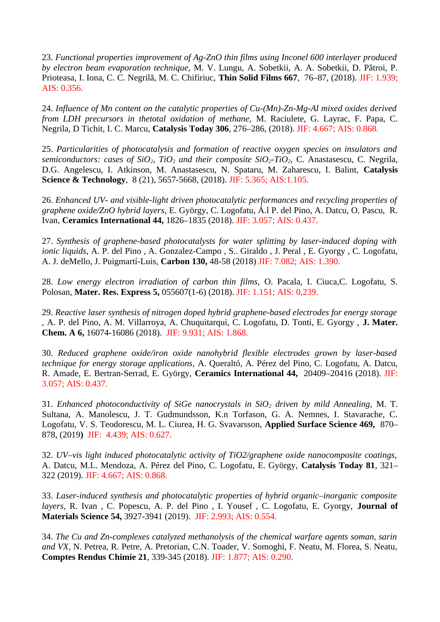23. *Functional properties improvement of Ag-ZnO thin films using Inconel 600 interlayer produced by electron beam evaporation technique,* M. V. Lungu, A. Sobetkii, A. A. Sobetkii, D. Pătroi, P. Prioteasa, I. Iona, C. C. Negrilă, M. C. Chifiriuc, **Thin Solid Films 667**, 76–87, (2018). JIF: 1.939; AIS: 0.356.

24. *Influence of Mn content on the catalytic properties of Cu-(Mn)-Zn-Mg-Al mixed oxides derived from LDH precursors in thetotal oxidation of methane,* M. Raciulete, G. Layrac, F. Papa, C. Negrila, D Tichit, I. C. Marcu, **Catalysis Today 306**, 276–286, (2018). JIF: 4.667; AIS: 0.868.

25. *Particularities of photocatalysis and formation of reactive oxygen species on insulators and semiconductors: cases of SiO2, TiO2 and their composite SiO2-TiO2,* C. Anastasescu, C. Negrila, D.G. Angelescu, I. Atkinson, M. Anastasescu, N. Spataru, M. Zaharescu, I. Balint, **Catalysis Science & Technology**, 8 (21), 5657-5668, (2018). JIF: 5.365; AIS:1.105.

26. *Enhanced UV- and visible-light driven photocatalytic performances and recycling properties of graphene oxide/ZnO hybrid layers,* E. György, C. Logofatu, Á.l P. del Pino, A. Datcu, O. Pascu, R. Ivan, **Ceramics International 44,** 1826–1835 (2018). JIF: 3.057; AIS: 0.437.

27. *Synthesis of graphene-based photocatalysts for water splitting by laser-induced doping with ionic liquids,* A. P. del Pino , A. Gonzalez-Campo , S.. Giraldo , J. Peral , E. Gyorgy , C. Logofatu, A. J. deMello, J. Puigmartí-Luis, **Carbon 130,** 48-58 (2018) JIF: 7.082; AIS: 1.390.

28. *Low energy electron irradiation of carbon thin films,* O. Pacala, I. Ciuca,C. Logofatu, S. Polosan, **Mater. Res. Express 5,** 055607(1-6) (2018). JIF: 1.151; AIS: 0,239.

29. *Reactive laser synthesis of nitrogen doped hybrid graphene-based electrodes for energy storage ,* A. P. del Pino, A. M. Villarroya, A. Chuquitarqui, C. Logofatu, D. Tonti, E. Gyorgy , **J. Mater. Chem. A 6,** 16074-16086 (2018). JIF: 9.931; AIS: 1.868.

30. *Reduced graphene oxide/iron oxide nanohybrid flexible electrodes grown by laser-based technique for energy storage applications,* A. Queraltó, A. Pérez del Pino, C. Logofatu, A. Datcu, R. Amade, E. Bertran-Serrad, E. György, **Ceramics International 44,** 20409–20416 (2018). JIF: 3.057; AIS: 0.437.

31. *Enhanced photoconductivity of SiGe nanocrystals in SiO2 driven by mild Annealing,* M. T. Sultana, A. Manolescu, J. T. Gudmundsson, K.n Torfason, G. A. Nemnes, I. Stavarache, C. Logofatu, V. S. Teodorescu, M. L. Ciurea, H. G. Svavarsson, **Applied Surface Science 469,** 870– 878, (2019**)** JIF: 4.439; AIS: 0.627.

32. *UV–vis light induced photocatalytic activity of TiO2/graphene oxide nanocomposite coatings,* A. Datcu, M.L. Mendoza, A. Pérez del Pino, C. Logofatu, E. György, **Catalysis Today 81**, 321– 322 (2019). JIF: 4.667; AIS: 0.868.

33. *Laser-induced synthesis and photocatalytic properties of hybrid organic–inorganic composite layers,* R. Ivan , C. Popescu, A. P. del Pino , I. Yousef , C. Logofatu, E. Gyorgy, **Journal of Materials Science 54,** 3927-3941 (2019). JIF: 2.993; AIS: 0.554.

34. *The Cu and Zn-complexes catalyzed methanolysis of the chemical warfare agents soman, sarin and VX*, N. Petrea, R. Petre, A. Pretorian, C.N. Toader, V. Somoghi, F. Neatu, M. Florea, S. Neatu, **Comptes Rendus Chimie 21**, 339-345 (2018). JIF: 1.877; AIS: 0.290.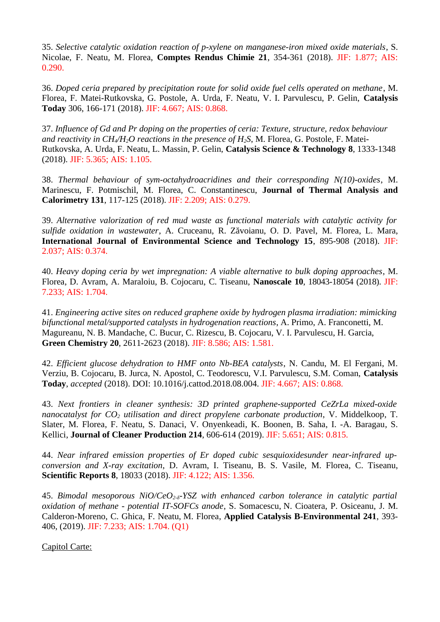35. *Selective catalytic oxidation reaction of p-xylene on manganese-iron mixed oxide materials*, S. Nicolae, F. Neatu, M. Florea, **Comptes Rendus Chimie 21**, 354-361 (2018). JIF: 1.877; AIS: 0.290.

36. *Doped ceria prepared by precipitation route for solid oxide fuel cells operated on methane*, M. Florea, F. Matei-Rutkovska, G. Postole, A. Urda, F. Neatu, V. I. Parvulescu, P. Gelin, **Catalysis Today** 306, 166-171 (2018). JIF: 4.667; AIS: 0.868.

37. *Influence of Gd and Pr doping on the properties of ceria: Texture, structure, redox behaviour and reactivity in CH4/H2O reactions in the presence of H2S*, M. Florea, G. Postole, F. Matei-Rutkovska, A. Urda, F. Neatu, L. Massin, P. Gelin, **Catalysis Science & Technology 8**, 1333-1348 (2018). JIF: 5.365; AIS: 1.105.

38. *Thermal behaviour of sym-octahydroacridines and their corresponding N(10)-oxides*, M. Marinescu, F. Potmischil, M. Florea, C. Constantinescu, **Journal of Thermal Analysis and Calorimetry 131**, 117-125 (2018). JIF: 2.209; AIS: 0.279.

39. *Alternative valorization of red mud waste as functional materials with catalytic activity for sulfide oxidation in wastewater*, A. Cruceanu, R. Zăvoianu, O. D. Pavel, M. Florea, L. Mara, **International Journal of Environmental Science and Technology 15**, 895-908 (2018). JIF: 2.037; AIS: 0.374.

40. *Heavy doping ceria by wet impregnation: A viable alternative to bulk doping approaches*, M. Florea, D. Avram, A. Maraloiu, B. Cojocaru, C. Tiseanu, **Nanoscale 10**, 18043-18054 (2018). JIF: 7.233; AIS: 1.704.

41. *Engineering active sites on reduced graphene oxide by hydrogen plasma irradiation: mimicking bifunctional metal/supported catalysts in hydrogenation reactions*, A. Primo, A. Franconetti, M. Magureanu, N. B. Mandache, C. Bucur, C. Rizescu, B. Cojocaru, V. I. Parvulescu, H. Garcia, **Green Chemistry 20**, 2611-2623 (2018). JIF: 8.586; AIS: 1.581.

42. *Efficient glucose dehydration to HMF onto Nb-BEA catalysts*, N. Candu, M. El Fergani, M. Verziu, B. Cojocaru, B. Jurca, N. Apostol, C. Teodorescu, V.I. Parvulescu, S.M. Coman, **Catalysis Today**, *accepted* (2018). DOI: 10.1016/j.cattod.2018.08.004. JIF: 4.667; AIS: 0.868.

43. *Next frontiers in cleaner synthesis: 3D printed graphene-supported CeZrLa mixed-oxide nanocatalyst for CO2 utilisation and direct propylene carbonate production*, V. Middelkoop, T. Slater, M. Florea, F. Neatu, S. Danaci, V. Onyenkeadi, K. Boonen, B. Saha, I. -A. Baragau, S. Kellici, **Journal of Cleaner Production 214**, 606-614 (2019). JIF: 5.651; AIS: 0.815.

44. *Near infrared emission properties of Er doped cubic sesquioxidesunder near-infrared upconversion and X-ray excitation*, D. Avram, I. Tiseanu, B. S. Vasile, M. Florea, C. Tiseanu, **Scientific Reports 8**, 18033 (2018). JIF: 4.122; AIS: 1.356.

45. *Bimodal mesoporous NiO/CeO2-δ-YSZ with enhanced carbon tolerance in catalytic partial oxidation of methane - potential IT-SOFCs anode*, S. Somacescu, N. Cioatera, P. Osiceanu, J. M. Calderon-Moreno, C. Ghica, F. Neatu, M. Florea, **Applied Catalysis B-Environmental 241**, 393- 406, (2019). JIF: 7.233; AIS: 1.704. (Q1)

Capitol Carte: